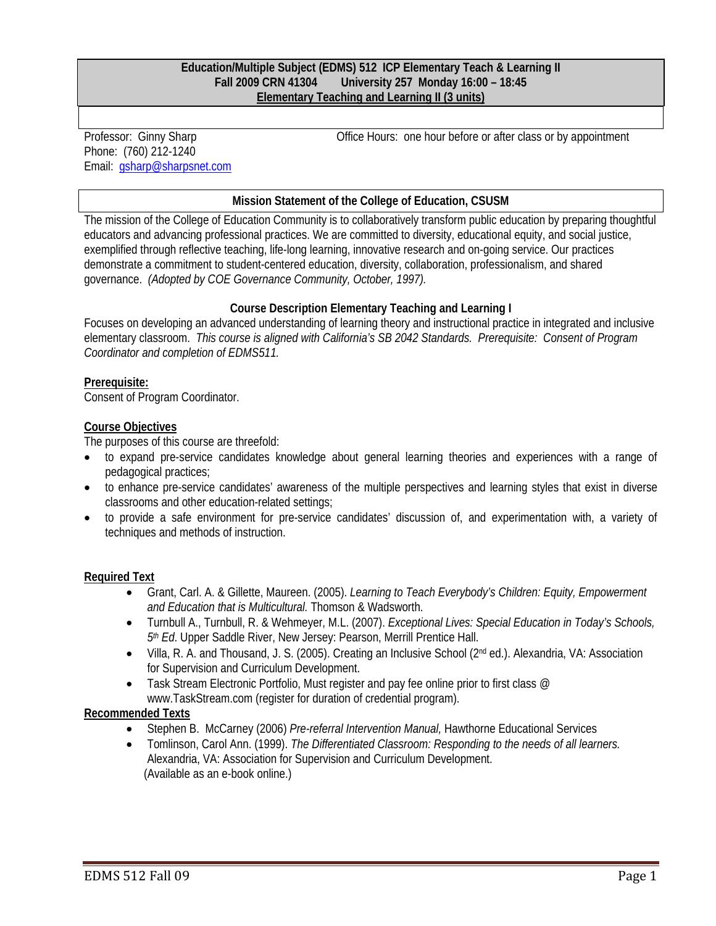#### **Education/Multiple Subject (EDMS) 512 ICP Elementary Teach & Learning II Fall 2009 CRN 41304 University 257 Monday 16:00 – 18:45 Elementary Teaching and Learning II (3 units)**

Professor: Ginny Sharp Phone: (760) 212-1240 Email: gsharp@sharpsnet.com Office Hours: one hour before or after class or by appointment

#### **Mission Statement of the College of Education, CSUSM**

The mission of the College of Education Community is to collaboratively transform public education by preparing thoughtful educators and advancing professional practices. We are committed to diversity, educational equity, and social justice, exemplified through reflective teaching, life-long learning, innovative research and on-going service. Our practices demonstrate a commitment to student-centered education, diversity, collaboration, professionalism, and shared governance. *(Adopted by COE Governance Community, October, 1997).* 

### **Course Description Elementary Teaching and Learning I**

 *Coordinator and completion of EDMS511.*  Focuses on developing an advanced understanding of learning theory and instructional practice in integrated and inclusive elementary classroom. *This course is aligned with California's SB 2042 Standards. Prerequisite: Consent of Program* 

### **Prerequisite:**

Consent of Program Coordinator.

#### **Course Objectives**

The purposes of this course are threefold:

- to expand pre-service candidates knowledge about general learning theories and experiences with a range of pedagogical practices;
- to enhance pre-service candidates' awareness of the multiple perspectives and learning styles that exist in diverse classrooms and other education-related settings;
- to provide a safe environment for pre-service candidates' discussion of, and experimentation with, a variety of techniques and methods of instruction.

### **Required Text**

- Grant, Carl. A. & Gillette, Maureen. (2005). *Learning to Teach Everybody's Children: Equity, Empowerment and Education that is Multicultural.* Thomson & Wadsworth.
- Turnbull A., Turnbull, R. & Wehmeyer, M.L. (2007). *Exceptional Lives: Special Education in Today's Schools, 5th Ed*. Upper Saddle River, New Jersey: Pearson, Merrill Prentice Hall.
- Villa, R. A. and Thousand, J. S. (2005). Creating an Inclusive School (2nd ed.). Alexandria, VA: Association for Supervision and Curriculum Development.
- Task Stream Electronic Portfolio, Must register and pay fee online prior to first class @ www.TaskStream.com (register for duration of credential program).

### **Recommended Texts**

- Stephen B. McCarney (2006) *Pre-referral Intervention Manual,* Hawthorne Educational Services
- Tomlinson, Carol Ann. (1999). *The Differentiated Classroom: Responding to the needs of all learners.*  Alexandria, VA: Association for Supervision and Curriculum Development. (Available as an e-book online.)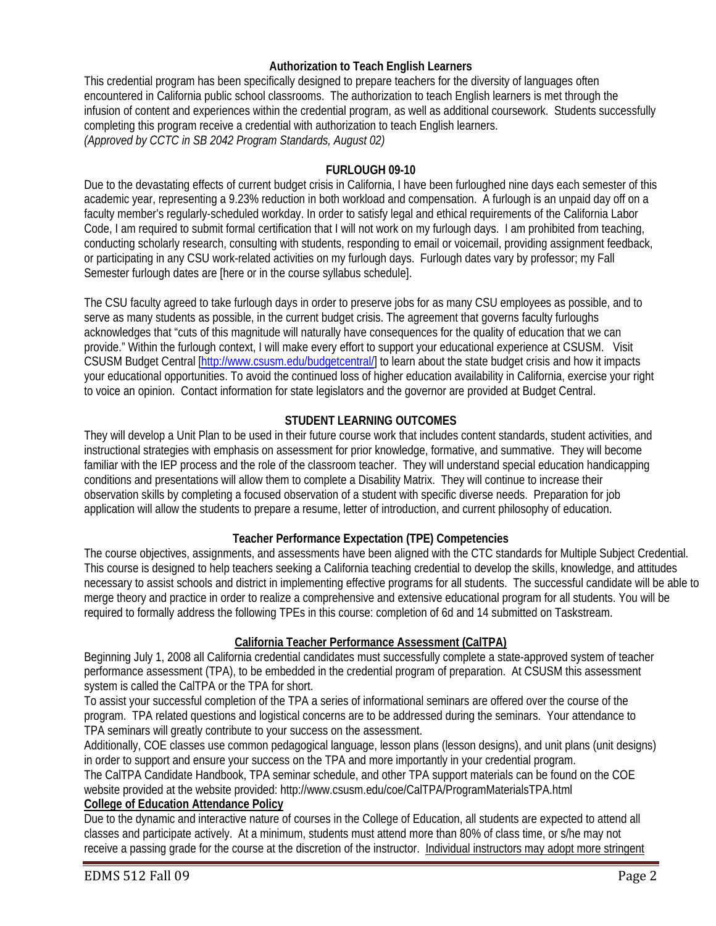### **Authorization to Teach English Learners**

This credential program has been specifically designed to prepare teachers for the diversity of languages often encountered in California public school classrooms. The authorization to teach English learners is met through the infusion of content and experiences within the credential program, as well as additional coursework. Students successfully completing this program receive a credential with authorization to teach English learners. *(Approved by CCTC in SB 2042 Program Standards, August 02)* 

### **FURLOUGH 09-10**

Due to the devastating effects of current budget crisis in California, I have been furloughed nine days each semester of this academic year, representing a 9.23% reduction in both workload and compensation. A furlough is an unpaid day off on a faculty member's regularly-scheduled workday. In order to satisfy legal and ethical requirements of the California Labor Code, I am required to submit formal certification that I will not work on my furlough days. I am prohibited from teaching, conducting scholarly research, consulting with students, responding to email or voicemail, providing assignment feedback, or participating in any CSU work-related activities on my furlough days. Furlough dates vary by professor; my Fall Semester furlough dates are [here or in the course syllabus schedule].

The CSU faculty agreed to take furlough days in order to preserve jobs for as many CSU employees as possible, and to serve as many students as possible, in the current budget crisis. The agreement that governs faculty furloughs acknowledges that "cuts of this magnitude will naturally have consequences for the quality of education that we can provide." Within the furlough context, I will make every effort to support your educational experience at CSUSM. Visit CSUSM Budget Central [http://www.csusm.edu/budgetcentral/] to learn about the state budget crisis and how it impacts your educational opportunities. To avoid the continued loss of higher education availability in California, exercise your right to voice an opinion. Contact information for state legislators and the governor are provided at Budget Central.

### **STUDENT LEARNING OUTCOMES**

 instructional strategies with emphasis on assessment for prior knowledge, formative, and summative. They will become They will develop a Unit Plan to be used in their future course work that includes content standards, student activities, and familiar with the IEP process and the role of the classroom teacher. They will understand special education handicapping conditions and presentations will allow them to complete a Disability Matrix. They will continue to increase their observation skills by completing a focused observation of a student with specific diverse needs. Preparation for job application will allow the students to prepare a resume, letter of introduction, and current philosophy of education.

### **Teacher Performance Expectation (TPE) Competencies**

The course objectives, assignments, and assessments have been aligned with the CTC standards for Multiple Subject Credential. This course is designed to help teachers seeking a California teaching credential to develop the skills, knowledge, and attitudes necessary to assist schools and district in implementing effective programs for all students. The successful candidate will be able to merge theory and practice in order to realize a comprehensive and extensive educational program for all students. You will be required to formally address the following TPEs in this course: completion of 6d and 14 submitted on Taskstream.

### **California Teacher Performance Assessment (CalTPA)**

Beginning July 1, 2008 all California credential candidates must successfully complete a state-approved system of teacher performance assessment (TPA), to be embedded in the credential program of preparation. At CSUSM this assessment system is called the CalTPA or the TPA for short.

To assist your successful completion of the TPA a series of informational seminars are offered over the course of the program. TPA related questions and logistical concerns are to be addressed during the seminars. Your attendance to TPA seminars will greatly contribute to your success on the assessment.

Additionally, COE classes use common pedagogical language, lesson plans (lesson designs), and unit plans (unit designs) in order to support and ensure your success on the TPA and more importantly in your credential program.

The CalTPA Candidate Handbook, TPA seminar schedule, and other TPA support materials can be found on the COE website provided at the website provided: http://www.csusm.edu/coe/CalTPA/ProgramMaterialsTPA.html

### **College of Education Attendance Policy**

Due to the dynamic and interactive nature of courses in the College of Education, all students are expected to attend all classes and participate actively. At a minimum, students must attend more than 80% of class time, or s/he may not receive a passing grade for the course at the discretion of the instructor. Individual instructors may adopt more stringent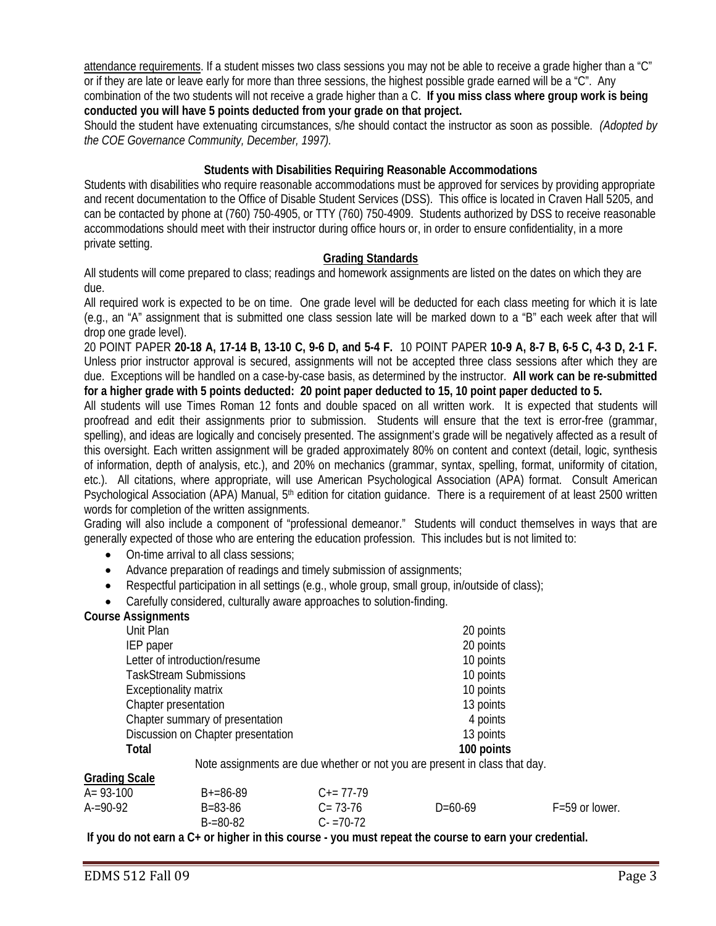attendance requirements. If a student misses two class sessions you may not be able to receive a grade higher than a "C" or if they are late or leave early for more than three sessions, the highest possible grade earned will be a "C". Any combination of the two students will not receive a grade higher than a C. **If you miss class where group work is being conducted you will have 5 points deducted from your grade on that project.** 

 *the COE Governance Community, December, 1997).* Should the student have extenuating circumstances, s/he should contact the instructor as soon as possible. *(Adopted by* 

#### **Students with Disabilities Requiring Reasonable Accommodations**

Students with disabilities who require reasonable accommodations must be approved for services by providing appropriate and recent documentation to the Office of Disable Student Services (DSS). This office is located in Craven Hall 5205, and can be contacted by phone at (760) 750-4905, or TTY (760) 750-4909. Students authorized by DSS to receive reasonable accommodations should meet with their instructor during office hours or, in order to ensure confidentiality, in a more private setting.

#### **Grading Standards**

 All students will come prepared to class; readings and homework assignments are listed on the dates on which they are due.

All required work is expected to be on time. One grade level will be deducted for each class meeting for which it is late (e.g., an "A" assignment that is submitted one class session late will be marked down to a "B" each week after that will drop one grade level).

 due. Exceptions will be handled on a case-by-case basis, as determined by the instructor. **All work can be re-submitted**  20 POINT PAPER **20-18 A, 17-14 B, 13-10 C, 9-6 D, and 5-4 F.** 10 POINT PAPER **10-9 A, 8-7 B, 6-5 C, 4-3 D, 2-1 F.**  Unless prior instructor approval is secured, assignments will not be accepted three class sessions after which they are **for a higher grade with 5 points deducted: 20 point paper deducted to 15, 10 point paper deducted to 5.** 

Psychological Association (APA) Manual, 5<sup>th</sup> edition for citation guidance. There is a requirement of at least 2500 written All students will use Times Roman 12 fonts and double spaced on all written work. It is expected that students will proofread and edit their assignments prior to submission. Students will ensure that the text is error-free (grammar, spelling), and ideas are logically and concisely presented. The assignment's grade will be negatively affected as a result of this oversight. Each written assignment will be graded approximately 80% on content and context (detail, logic, synthesis of information, depth of analysis, etc.), and 20% on mechanics (grammar, syntax, spelling, format, uniformity of citation, etc.). All citations, where appropriate, will use American Psychological Association (APA) format. Consult American words for completion of the written assignments.

 Grading will also include a component of "professional demeanor." Students will conduct themselves in ways that are generally expected of those who are entering the education profession. This includes but is not limited to:

- On-time arrival to all class sessions;
- Advance preparation of readings and timely submission of assignments;
- Respectful participation in all settings (e.g., whole group, small group, in/outside of class);
- Carefully considered, culturally aware approaches to solution-finding.

#### **Course Assignments**

| Unit Plan                                                                  | 20 points  |
|----------------------------------------------------------------------------|------------|
| IEP paper                                                                  | 20 points  |
| Letter of introduction/resume                                              | 10 points  |
| <b>TaskStream Submissions</b>                                              | 10 points  |
| <b>Exceptionality matrix</b>                                               | 10 points  |
| Chapter presentation                                                       | 13 points  |
| Chapter summary of presentation                                            | 4 points   |
| Discussion on Chapter presentation                                         | 13 points  |
| Total                                                                      | 100 points |
| Note assignments are due whether or not you are present in class that day. |            |

#### **Grading Scale**

| $A = 93-100$ | $B+=86-89$                     | $C_{\pm} = 77 - 79$          |         |                    |
|--------------|--------------------------------|------------------------------|---------|--------------------|
| $A = 90-92$  | $B = 83 - 86$<br>$B = 80 - 82$ | $C = 73-76$<br>$C - 70 - 72$ | D=60-69 | $F = 59$ or lower. |

**If you do not earn a C+ or higher in this course - you must repeat the course to earn your credential.**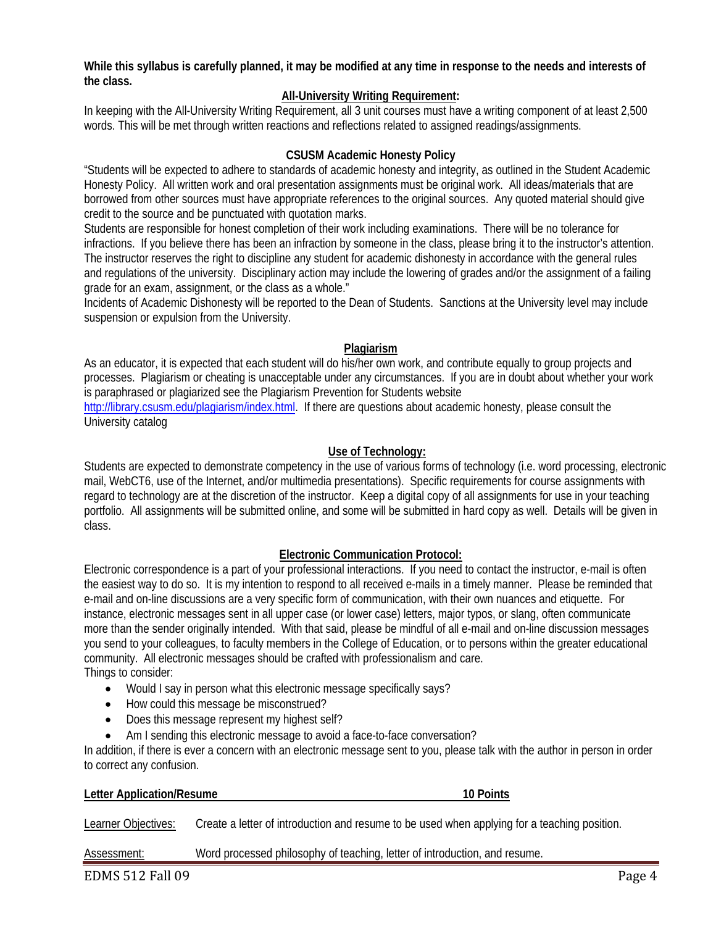**While this syllabus is carefully planned, it may be modified at any time in response to the needs and interests of the class.** 

### **All-University Writing Requirement:**

 words. This will be met through written reactions and reflections related to assigned readings/assignments. In keeping with the All-University Writing Requirement, all 3 unit courses must have a writing component of at least 2,500

#### **CSUSM Academic Honesty Policy**

"Students will be expected to adhere to standards of academic honesty and integrity, as outlined in the Student Academic Honesty Policy. All written work and oral presentation assignments must be original work. All ideas/materials that are borrowed from other sources must have appropriate references to the original sources. Any quoted material should give credit to the source and be punctuated with quotation marks.

Students are responsible for honest completion of their work including examinations. There will be no tolerance for infractions. If you believe there has been an infraction by someone in the class, please bring it to the instructor's attention. The instructor reserves the right to discipline any student for academic dishonesty in accordance with the general rules and regulations of the university. Disciplinary action may include the lowering of grades and/or the assignment of a failing grade for an exam, assignment, or the class as a whole."

Incidents of Academic Dishonesty will be reported to the Dean of Students. Sanctions at the University level may include suspension or expulsion from the University.

#### **Plagiarism**

As an educator, it is expected that each student will do his/her own work, and contribute equally to group projects and processes. Plagiarism or cheating is unacceptable under any circumstances. If you are in doubt about whether your work is paraphrased or plagiarized see the Plagiarism Prevention for Students website http://library.csusm.edu/plagiarism/index.html. If there are questions about academic honesty, please consult the University catalog

#### **Use of Technology:**

 Students are expected to demonstrate competency in the use of various forms of technology (i.e. word processing, electronic mail, WebCT6, use of the Internet, and/or multimedia presentations). Specific requirements for course assignments with regard to technology are at the discretion of the instructor. Keep a digital copy of all assignments for use in your teaching portfolio. All assignments will be submitted online, and some will be submitted in hard copy as well. Details will be given in class.

#### **Electronic Communication Protocol:**

 instance, electronic messages sent in all upper case (or lower case) letters, major typos, or slang, often communicate Electronic correspondence is a part of your professional interactions. If you need to contact the instructor, e-mail is often the easiest way to do so. It is my intention to respond to all received e-mails in a timely manner. Please be reminded that e-mail and on-line discussions are a very specific form of communication, with their own nuances and etiquette. For more than the sender originally intended. With that said, please be mindful of all e-mail and on-line discussion messages you send to your colleagues, to faculty members in the College of Education, or to persons within the greater educational community. All electronic messages should be crafted with professionalism and care. Things to consider:

- Would I say in person what this electronic message specifically says?
- How could this message be misconstrued?
- Does this message represent my highest self?
- Am I sending this electronic message to avoid a face-to-face conversation?

In addition, if there is ever a concern with an electronic message sent to you, please talk with the author in person in order to correct any confusion.

#### **Letter Application/Resume 10 Points 10 Points**

Learner Objectives: Create a letter of introduction and resume to be used when applying for a teaching position.

Assessment: Word processed philosophy of teaching, letter of introduction, and resume.

EDMS 512 Fall 09 Page 4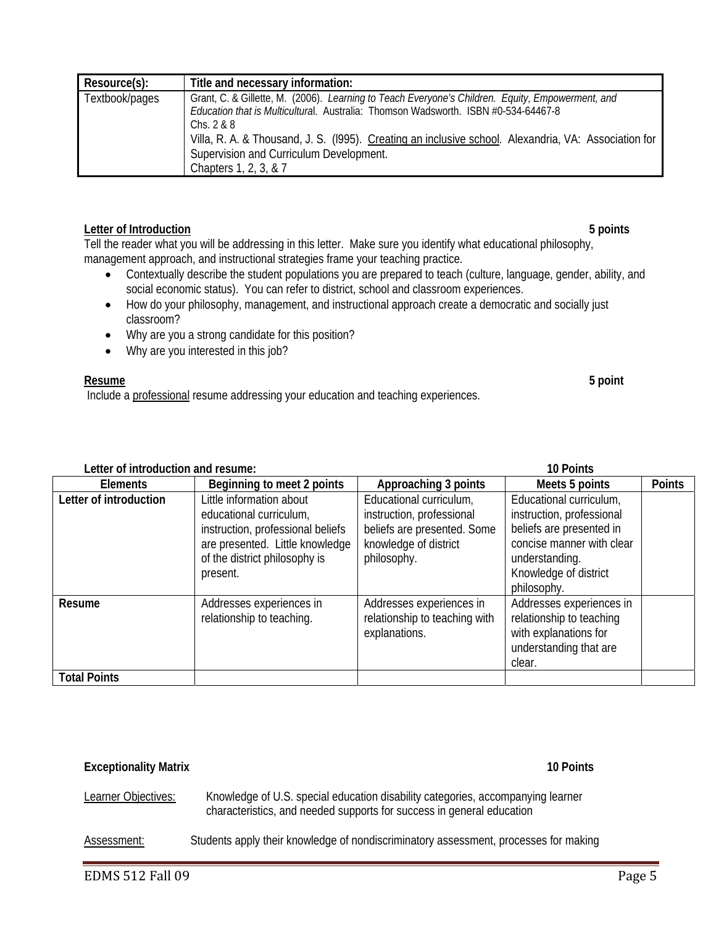| Resource(s):   | Title and necessary information:                                                                                                                                                                                                                                                                                                                                                   |
|----------------|------------------------------------------------------------------------------------------------------------------------------------------------------------------------------------------------------------------------------------------------------------------------------------------------------------------------------------------------------------------------------------|
| Textbook/pages | Grant, C. & Gillette, M. (2006). Learning to Teach Everyone's Children. Equity, Empowerment, and<br>Education that is Multicultural. Australia: Thomson Wadsworth. ISBN #0-534-64467-8<br>Chs. $2 & 8$<br>Villa, R. A. & Thousand, J. S. (1995). Creating an inclusive school. Alexandria, VA: Association for<br>Supervision and Curriculum Development.<br>Chapters 1, 2, 3, & 7 |

#### **Letter of Introduction 5 points**

Tell the reader what you will be addressing in this letter. Make sure you identify what educational philosophy, management approach, and instructional strategies frame your teaching practice.

- Contextually describe the student populations you are prepared to teach (culture, language, gender, ability, and social economic status). You can refer to district, school and classroom experiences.
- How do your philosophy, management, and instructional approach create a democratic and socially just classroom?
- Why are you a strong candidate for this position?
- Why are you interested in this job?

#### **Resume Resume 5 point**

Include a professional resume addressing your education and teaching experiences.

| Letter of introduction and resume: |  |
|------------------------------------|--|
|------------------------------------|--|

| Letter of introduction and resume: |                                                                                                                                                                          | 10 Points                                                                                                                   |                                                                                                                                                                         |               |
|------------------------------------|--------------------------------------------------------------------------------------------------------------------------------------------------------------------------|-----------------------------------------------------------------------------------------------------------------------------|-------------------------------------------------------------------------------------------------------------------------------------------------------------------------|---------------|
| <b>Elements</b>                    | Beginning to meet 2 points                                                                                                                                               | Approaching 3 points                                                                                                        | Meets 5 points                                                                                                                                                          | <b>Points</b> |
| Letter of introduction             | Little information about<br>educational curriculum,<br>instruction, professional beliefs<br>are presented. Little knowledge<br>of the district philosophy is<br>present. | Educational curriculum,<br>instruction, professional<br>beliefs are presented. Some<br>knowledge of district<br>philosophy. | Educational curriculum,<br>instruction, professional<br>beliefs are presented in<br>concise manner with clear<br>understanding.<br>Knowledge of district<br>philosophy. |               |
| Resume                             | Addresses experiences in<br>relationship to teaching.                                                                                                                    | Addresses experiences in<br>relationship to teaching with<br>explanations.                                                  | Addresses experiences in<br>relationship to teaching<br>with explanations for<br>understanding that are<br>clear.                                                       |               |
| <b>Total Points</b>                |                                                                                                                                                                          |                                                                                                                             |                                                                                                                                                                         |               |

#### **Exceptionality Matrix 10 Points**

Learner Objectives: Knowledge of U.S. special education disability categories, accompanying learner characteristics, and needed supports for success in general education

Assessment: Students apply their knowledge of nondiscriminatory assessment, processes for making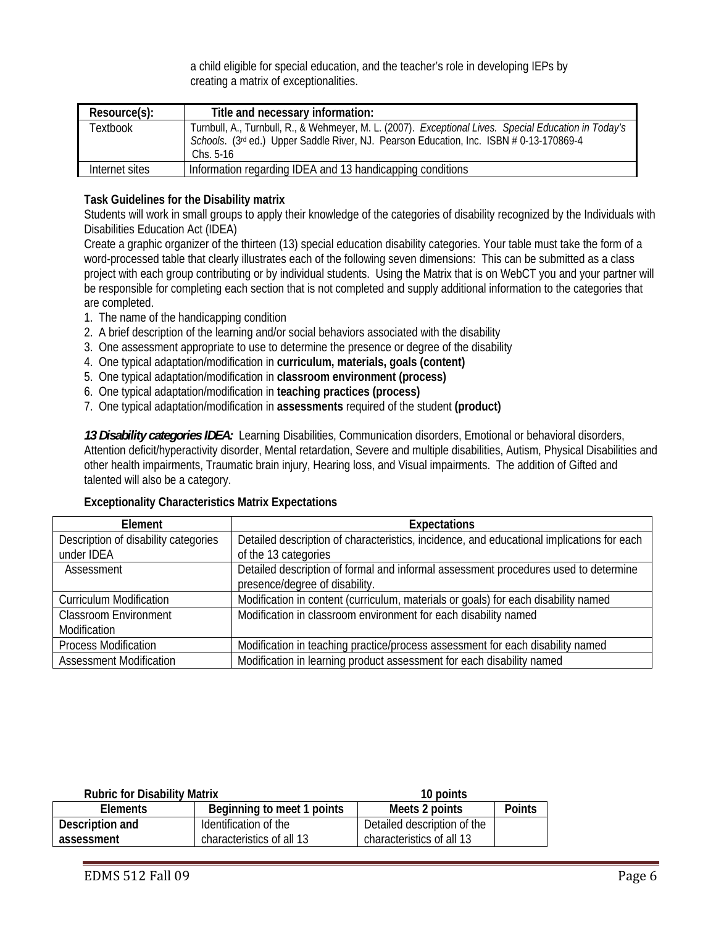a child eligible for special education, and the teacher's role in developing IEPs by creating a matrix of exceptionalities.

| Resource(s):   | Title and necessary information:                                                                                                                                                                                            |
|----------------|-----------------------------------------------------------------------------------------------------------------------------------------------------------------------------------------------------------------------------|
| Textbook       | Turnbull, A., Turnbull, R., & Wehmeyer, M. L. (2007). Exceptional Lives. Special Education in Today's<br>Schools. (3 <sup>rd</sup> ed.) Upper Saddle River, NJ. Pearson Education, Inc. ISBN # 0-13-170869-4<br>Chs. $5-16$ |
| Internet sites | Information regarding IDEA and 13 handicapping conditions                                                                                                                                                                   |

## **Task Guidelines for the Disability matrix**

Students will work in small groups to apply their knowledge of the categories of disability recognized by the Individuals with Disabilities Education Act (IDEA)

are completed. Create a graphic organizer of the thirteen (13) special education disability categories. Your table must take the form of a word-processed table that clearly illustrates each of the following seven dimensions: This can be submitted as a class project with each group contributing or by individual students. Using the Matrix that is on WebCT you and your partner will be responsible for completing each section that is not completed and supply additional information to the categories that

- 1. The name of the handicapping condition
- 2. A brief description of the learning and/or social behaviors associated with the disability
- 3. One assessment appropriate to use to determine the presence or degree of the disability
- 4. One typical adaptation/modification in **curriculum, materials, goals (content)**
- 5. One typical adaptation/modification in **classroom environment (process)**
- 6. One typical adaptation/modification in **teaching practices (process)**
- 7. One typical adaptation/modification in **assessments** required of the student **(product)**

*13 Disability categories IDEA:* Learning Disabilities, Communication disorders, Emotional or behavioral disorders, Attention deficit/hyperactivity disorder, Mental retardation, Severe and multiple disabilities, Autism, Physical Disabilities and other health impairments, Traumatic brain injury, Hearing loss, and Visual impairments. The addition of Gifted and talented will also be a category.

### **Exceptionality Characteristics Matrix Expectations**

| Element                              | <b>Expectations</b>                                                                       |
|--------------------------------------|-------------------------------------------------------------------------------------------|
| Description of disability categories | Detailed description of characteristics, incidence, and educational implications for each |
| under IDEA                           | of the 13 categories                                                                      |
| Assessment                           | Detailed description of formal and informal assessment procedures used to determine       |
|                                      | presence/degree of disability.                                                            |
| <b>Curriculum Modification</b>       | Modification in content (curriculum, materials or goals) for each disability named        |
| <b>Classroom Environment</b>         | Modification in classroom environment for each disability named                           |
| Modification                         |                                                                                           |
| <b>Process Modification</b>          | Modification in teaching practice/process assessment for each disability named            |
| <b>Assessment Modification</b>       | Modification in learning product assessment for each disability named                     |

| <b>Rubric for Disability Matrix</b> |                            | 10 points                   |               |
|-------------------------------------|----------------------------|-----------------------------|---------------|
| <b>Elements</b>                     | Beginning to meet 1 points | Meets 2 points              | <b>Points</b> |
| Description and                     | Identification of the      | Detailed description of the |               |
| assessment                          | characteristics of all 13  | characteristics of all 13   |               |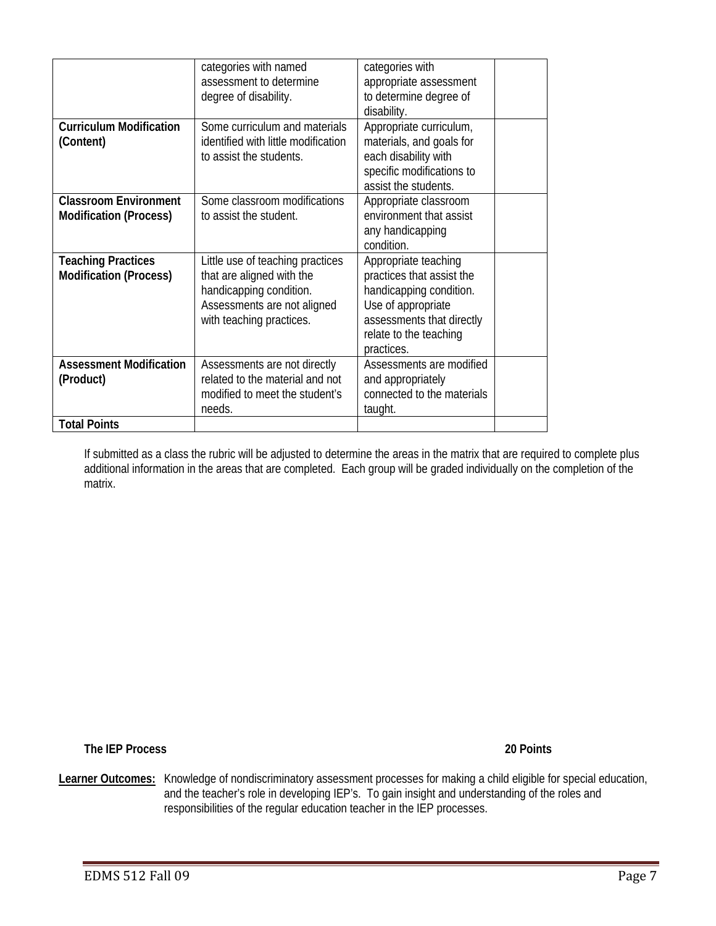|                                                               | categories with named<br>assessment to determine<br>degree of disability.                                                                           | categories with<br>appropriate assessment<br>to determine degree of<br>disability.                                                                                      |  |
|---------------------------------------------------------------|-----------------------------------------------------------------------------------------------------------------------------------------------------|-------------------------------------------------------------------------------------------------------------------------------------------------------------------------|--|
| <b>Curriculum Modification</b><br>(Content)                   | Some curriculum and materials<br>identified with little modification<br>to assist the students.                                                     | Appropriate curriculum,<br>materials, and goals for<br>each disability with<br>specific modifications to<br>assist the students.                                        |  |
| <b>Classroom Environment</b><br><b>Modification (Process)</b> | Some classroom modifications<br>to assist the student.                                                                                              | Appropriate classroom<br>environment that assist<br>any handicapping<br>condition.                                                                                      |  |
| <b>Teaching Practices</b><br><b>Modification (Process)</b>    | Little use of teaching practices<br>that are aligned with the<br>handicapping condition.<br>Assessments are not aligned<br>with teaching practices. | Appropriate teaching<br>practices that assist the<br>handicapping condition.<br>Use of appropriate<br>assessments that directly<br>relate to the teaching<br>practices. |  |
| <b>Assessment Modification</b><br>(Product)                   | Assessments are not directly<br>related to the material and not<br>modified to meet the student's<br>needs.                                         | Assessments are modified<br>and appropriately<br>connected to the materials<br>taught.                                                                                  |  |
| <b>Total Points</b>                                           |                                                                                                                                                     |                                                                                                                                                                         |  |

If submitted as a class the rubric will be adjusted to determine the areas in the matrix that are required to complete plus additional information in the areas that are completed. Each group will be graded individually on the completion of the matrix.

 **The IEP Process 20 Points** 

Learner Outcomes: Knowledge of nondiscriminatory assessment processes for making a child eligible for special education, and the teacher's role in developing IEP's. To gain insight and understanding of the roles and responsibilities of the regular education teacher in the IEP processes.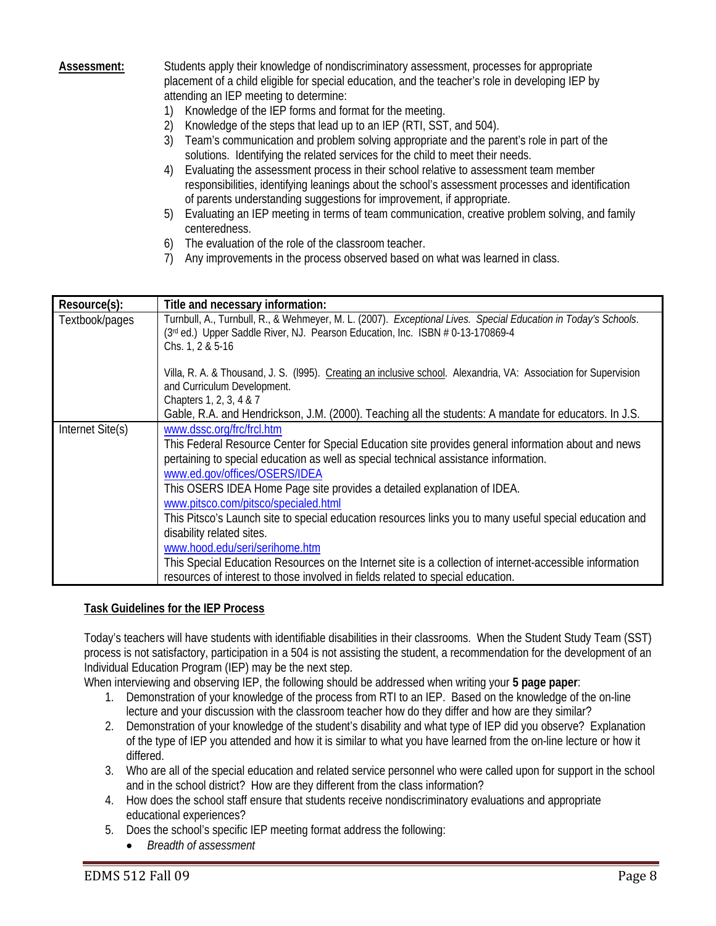**Assessment:** Students apply their knowledge of nondiscriminatory assessment, processes for appropriate placement of a child eligible for special education, and the teacher's role in developing IEP by attending an IEP meeting to determine:

- 1) Knowledge of the IEP forms and format for the meeting.
- 2) Knowledge of the steps that lead up to an IEP (RTI, SST, and 504).
- 3) Team's communication and problem solving appropriate and the parent's role in part of the solutions. Identifying the related services for the child to meet their needs.
- 4) Evaluating the assessment process in their school relative to assessment team member responsibilities, identifying leanings about the school's assessment processes and identification of parents understanding suggestions for improvement, if appropriate.
- 5) Evaluating an IEP meeting in terms of team communication, creative problem solving, and family centeredness.
- 6) The evaluation of the role of the classroom teacher.
- 7) Any improvements in the process observed based on what was learned in class.

| Resource(s):     | Title and necessary information:                                                                                                                                                                                                                                                                                                                                                                                                                                                                                                                                                                                                                                                                                                                      |
|------------------|-------------------------------------------------------------------------------------------------------------------------------------------------------------------------------------------------------------------------------------------------------------------------------------------------------------------------------------------------------------------------------------------------------------------------------------------------------------------------------------------------------------------------------------------------------------------------------------------------------------------------------------------------------------------------------------------------------------------------------------------------------|
| Textbook/pages   | Turnbull, A., Turnbull, R., & Wehmeyer, M. L. (2007). Exceptional Lives. Special Education in Today's Schools.<br>(3rd ed.) Upper Saddle River, NJ. Pearson Education, Inc. ISBN # 0-13-170869-4<br>Chs. 1, 2 & 5-16                                                                                                                                                                                                                                                                                                                                                                                                                                                                                                                                  |
|                  | Villa, R. A. & Thousand, J. S. (1995). Creating an inclusive school. Alexandria, VA: Association for Supervision<br>and Curriculum Development.<br>Chapters 1, 2, 3, 4 & 7<br>Gable, R.A. and Hendrickson, J.M. (2000). Teaching all the students: A mandate for educators. In J.S.                                                                                                                                                                                                                                                                                                                                                                                                                                                                   |
| Internet Site(s) | www.dssc.org/frc/frcl.htm<br>This Federal Resource Center for Special Education site provides general information about and news<br>pertaining to special education as well as special technical assistance information.<br>www.ed.gov/offices/OSERS/IDEA<br>This OSERS IDEA Home Page site provides a detailed explanation of IDEA.<br>www.pitsco.com/pitsco/specialed.html<br>This Pitsco's Launch site to special education resources links you to many useful special education and<br>disability related sites.<br>www.hood.edu/seri/serihome.htm<br>This Special Education Resources on the Internet site is a collection of internet-accessible information<br>resources of interest to those involved in fields related to special education. |

#### **Task Guidelines for the IEP Process**

Today's teachers will have students with identifiable disabilities in their classrooms. When the Student Study Team (SST) process is not satisfactory, participation in a 504 is not assisting the student, a recommendation for the development of an Individual Education Program (IEP) may be the next step.

When interviewing and observing IEP, the following should be addressed when writing your **5 page paper**:

- 1. Demonstration of your knowledge of the process from RTI to an IEP. Based on the knowledge of the on-line lecture and your discussion with the classroom teacher how do they differ and how are they similar?
- 2. Demonstration of your knowledge of the student's disability and what type of IEP did you observe? Explanation of the type of IEP you attended and how it is similar to what you have learned from the on-line lecture or how it differed.
- 3. Who are all of the special education and related service personnel who were called upon for support in the school and in the school district? How are they different from the class information?
- 4. How does the school staff ensure that students receive nondiscriminatory evaluations and appropriate educational experiences?
- 5. Does the school's specific IEP meeting format address the following:
	- *Breadth of assessment*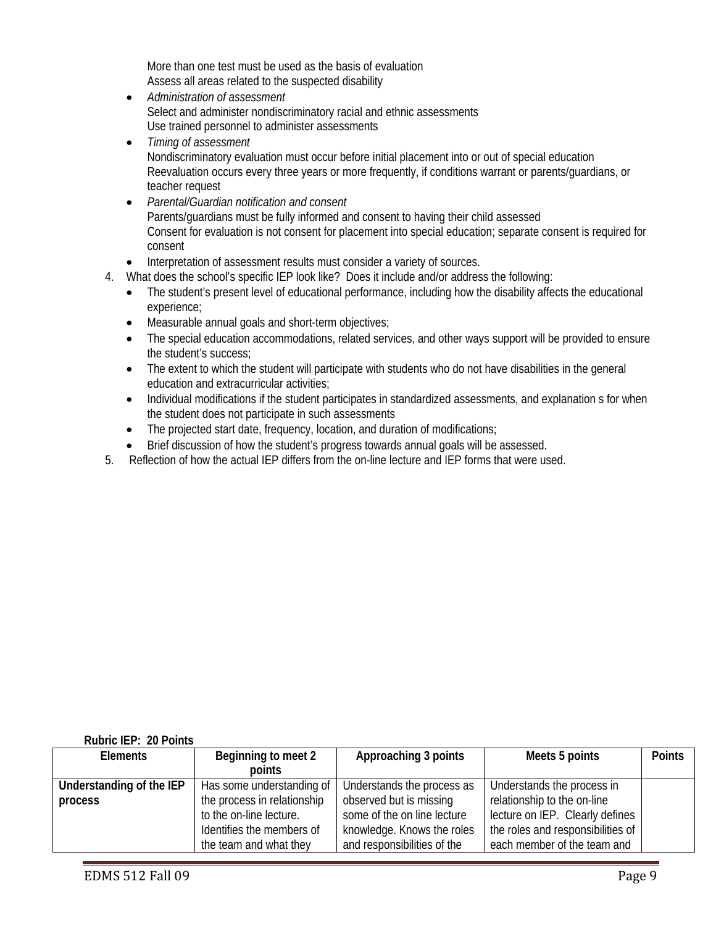More than one test must be used as the basis of evaluation Assess all areas related to the suspected disability

- *Administration of assessment*  Select and administer nondiscriminatory racial and ethnic assessments Use trained personnel to administer assessments
- *Timing of assessment*  Nondiscriminatory evaluation must occur before initial placement into or out of special education Reevaluation occurs every three years or more frequently, if conditions warrant or parents/guardians, or teacher request
- *Parental/Guardian notification and consent*  Parents/guardians must be fully informed and consent to having their child assessed Consent for evaluation is not consent for placement into special education; separate consent is required for consent
- Interpretation of assessment results must consider a variety of sources.
- 4. What does the school's specific IEP look like? Does it include and/or address the following:
	- The student's present level of educational performance, including how the disability affects the educational experience;
	- Measurable annual goals and short-term objectives;
	- The special education accommodations, related services, and other ways support will be provided to ensure the student's success;
	- The extent to which the student will participate with students who do not have disabilities in the general education and extracurricular activities;
	- Individual modifications if the student participates in standardized assessments, and explanation s for when the student does not participate in such assessments
	- The projected start date, frequency, location, and duration of modifications;
	- Brief discussion of how the student's progress towards annual goals will be assessed.
- 5. Reflection of how the actual IEP differs from the on-line lecture and IEP forms that were used.

#### **Rubric IEP: 20 Points**

| <b>Elements</b>          | Beginning to meet 2<br>points | Approaching 3 points        | Meets 5 points                    | <b>Points</b> |
|--------------------------|-------------------------------|-----------------------------|-----------------------------------|---------------|
| Understanding of the IEP | Has some understanding of     | Understands the process as  | Understands the process in        |               |
| process                  | the process in relationship   | observed but is missing     | relationship to the on-line       |               |
|                          | to the on-line lecture.       | some of the on line lecture | lecture on IEP. Clearly defines   |               |
|                          | Identifies the members of     | knowledge. Knows the roles  | the roles and responsibilities of |               |
|                          | the team and what they        | and responsibilities of the | each member of the team and       |               |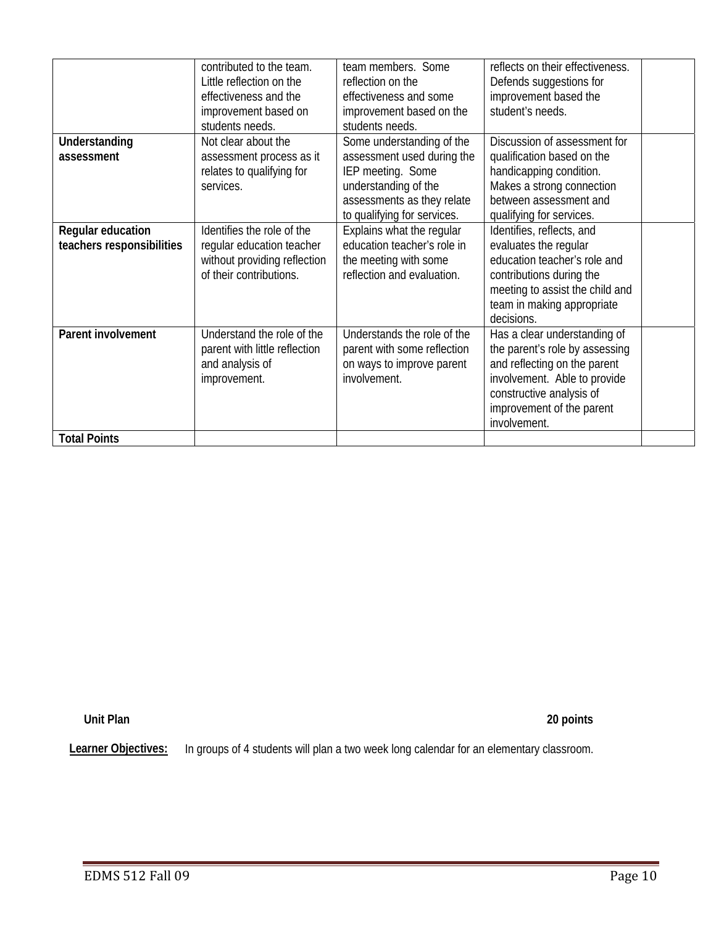|                                                | contributed to the team.<br>Little reflection on the<br>effectiveness and the<br>improvement based on<br>students needs. | team members. Some<br>reflection on the<br>effectiveness and some<br>improvement based on the<br>students needs.                                                  | reflects on their effectiveness.<br>Defends suggestions for<br>improvement based the<br>student's needs.                                                                                                |  |
|------------------------------------------------|--------------------------------------------------------------------------------------------------------------------------|-------------------------------------------------------------------------------------------------------------------------------------------------------------------|---------------------------------------------------------------------------------------------------------------------------------------------------------------------------------------------------------|--|
| Understanding<br>assessment                    | Not clear about the<br>assessment process as it<br>relates to qualifying for<br>services.                                | Some understanding of the<br>assessment used during the<br>IEP meeting. Some<br>understanding of the<br>assessments as they relate<br>to qualifying for services. | Discussion of assessment for<br>qualification based on the<br>handicapping condition.<br>Makes a strong connection<br>between assessment and<br>qualifying for services.                                |  |
| Regular education<br>teachers responsibilities | Identifies the role of the<br>regular education teacher<br>without providing reflection<br>of their contributions.       | Explains what the regular<br>education teacher's role in<br>the meeting with some<br>reflection and evaluation.                                                   | Identifies, reflects, and<br>evaluates the regular<br>education teacher's role and<br>contributions during the<br>meeting to assist the child and<br>team in making appropriate<br>decisions.           |  |
| Parent involvement                             | Understand the role of the<br>parent with little reflection<br>and analysis of<br>improvement.                           | Understands the role of the<br>parent with some reflection<br>on ways to improve parent<br>involvement.                                                           | Has a clear understanding of<br>the parent's role by assessing<br>and reflecting on the parent<br>involvement. Able to provide<br>constructive analysis of<br>improvement of the parent<br>involvement. |  |
| <b>Total Points</b>                            |                                                                                                                          |                                                                                                                                                                   |                                                                                                                                                                                                         |  |

**Unit Plan** 

**Unit Plan 20 points** 

Learner Objectives: In groups of 4 students will plan a two week long calendar for an elementary classroom.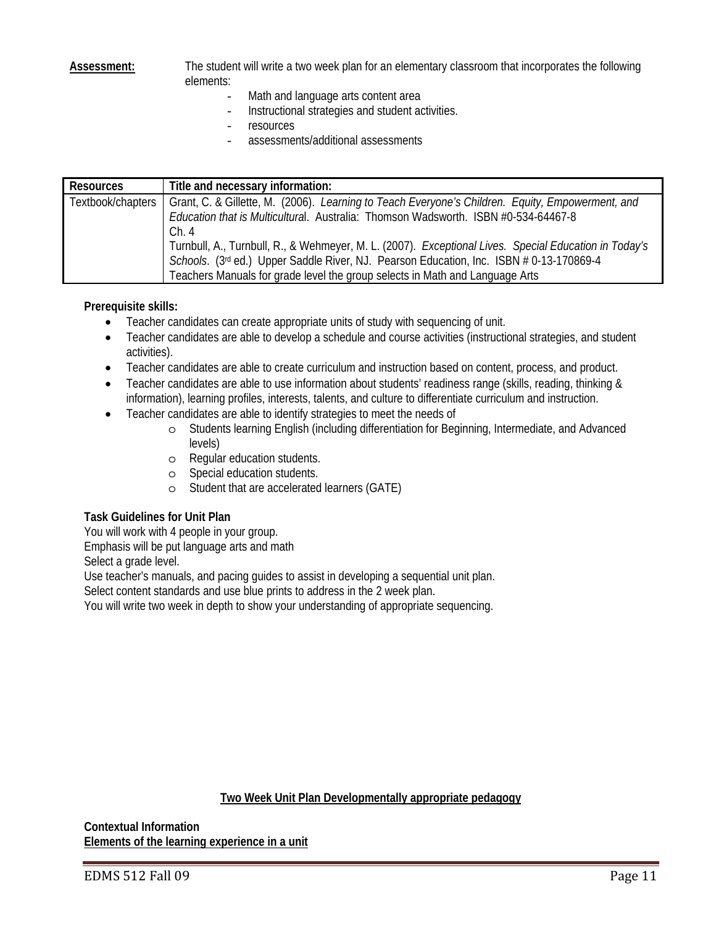**Assessment:** The student will write a two week plan for an elementary classroom that incorporates the following elements:

- Math and language arts content area
- Instructional strategies and student activities.
- resources
- assessments/additional assessments

| <b>Resources</b>  | Title and necessary information:                                                                                                                                                                                                                                                 |
|-------------------|----------------------------------------------------------------------------------------------------------------------------------------------------------------------------------------------------------------------------------------------------------------------------------|
| Textbook/chapters | Grant, C. & Gillette, M. (2006). Learning to Teach Everyone's Children. Equity, Empowerment, and<br>Education that is Multicultural. Australia: Thomson Wadsworth. ISBN #0-534-64467-8<br>Ch.4                                                                                   |
|                   | Turnbull, A., Turnbull, R., & Wehmeyer, M. L. (2007). Exceptional Lives. Special Education in Today's<br>Schools. (3rd ed.) Upper Saddle River, NJ. Pearson Education, Inc. ISBN # 0-13-170869-4<br>Teachers Manuals for grade level the group selects in Math and Language Arts |

#### **Prerequisite skills:**

- Teacher candidates can create appropriate units of study with sequencing of unit.
- Teacher candidates are able to develop a schedule and course activities (instructional strategies, and student activities).
- Teacher candidates are able to create curriculum and instruction based on content, process, and product.
- Teacher candidates are able to use information about students' readiness range (skills, reading, thinking & information), learning profiles, interests, talents, and culture to differentiate curriculum and instruction.
- Teacher candidates are able to identify strategies to meet the needs of
	- o Students learning English (including differentiation for Beginning, Intermediate, and Advanced levels)
	- o Regular education students.
	- o Special education students.
	- o Student that are accelerated learners (GATE)

#### **Task Guidelines for Unit Plan**

You will work with 4 people in your group.

Emphasis will be put language arts and math

Select a grade level.

Use teacher's manuals, and pacing guides to assist in developing a sequential unit plan.

Select content standards and use blue prints to address in the 2 week plan.

You will write two week in depth to show your understanding of appropriate sequencing.

#### **Two Week Unit Plan Developmentally appropriate pedagogy**

**Contextual Information Elements of the learning experience in a unit**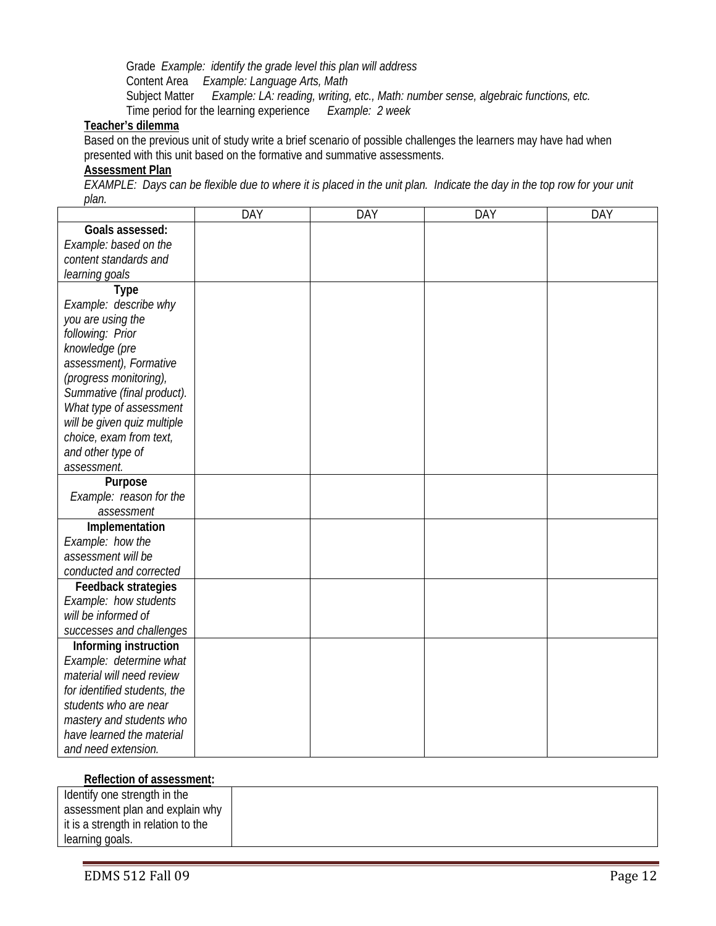Subject Matter *Example: LA: reading, writing, etc., Math: number sense, algebraic functions, etc.*  Grade *Example: identify the grade level this plan will address*  Content Area *Example: Language Arts, Math*  Time period for the learning experience *Example: 2 week* 

# **Teacher's dilemma**

Based on the previous unit of study write a brief scenario of possible challenges the learners may have had when presented with this unit based on the formative and summative assessments.

#### **Assessment Plan**

*EXAMPLE: Days can be flexible due to where it is placed in the unit plan. Indicate the day in the top row for your unit plan.* 

|                              | <b>DAY</b> | <b>DAY</b> | DAY | <b>DAY</b> |
|------------------------------|------------|------------|-----|------------|
| Goals assessed:              |            |            |     |            |
| Example: based on the        |            |            |     |            |
| content standards and        |            |            |     |            |
| learning goals               |            |            |     |            |
| <b>Type</b>                  |            |            |     |            |
| Example: describe why        |            |            |     |            |
| you are using the            |            |            |     |            |
| following: Prior             |            |            |     |            |
| knowledge (pre               |            |            |     |            |
| assessment), Formative       |            |            |     |            |
| (progress monitoring),       |            |            |     |            |
| Summative (final product).   |            |            |     |            |
| What type of assessment      |            |            |     |            |
| will be given quiz multiple  |            |            |     |            |
| choice, exam from text,      |            |            |     |            |
| and other type of            |            |            |     |            |
| assessment.                  |            |            |     |            |
| Purpose                      |            |            |     |            |
| Example: reason for the      |            |            |     |            |
| assessment                   |            |            |     |            |
| Implementation               |            |            |     |            |
| Example: how the             |            |            |     |            |
| assessment will be           |            |            |     |            |
| conducted and corrected      |            |            |     |            |
| Feedback strategies          |            |            |     |            |
| Example: how students        |            |            |     |            |
| will be informed of          |            |            |     |            |
| successes and challenges     |            |            |     |            |
| Informing instruction        |            |            |     |            |
| Example: determine what      |            |            |     |            |
| material will need review    |            |            |     |            |
| for identified students, the |            |            |     |            |
| students who are near        |            |            |     |            |
| mastery and students who     |            |            |     |            |
| have learned the material    |            |            |     |            |
| and need extension.          |            |            |     |            |

#### **Reflection of assessment:**

| Identify one strength in the        |  |
|-------------------------------------|--|
| assessment plan and explain why     |  |
| it is a strength in relation to the |  |
| learning goals.                     |  |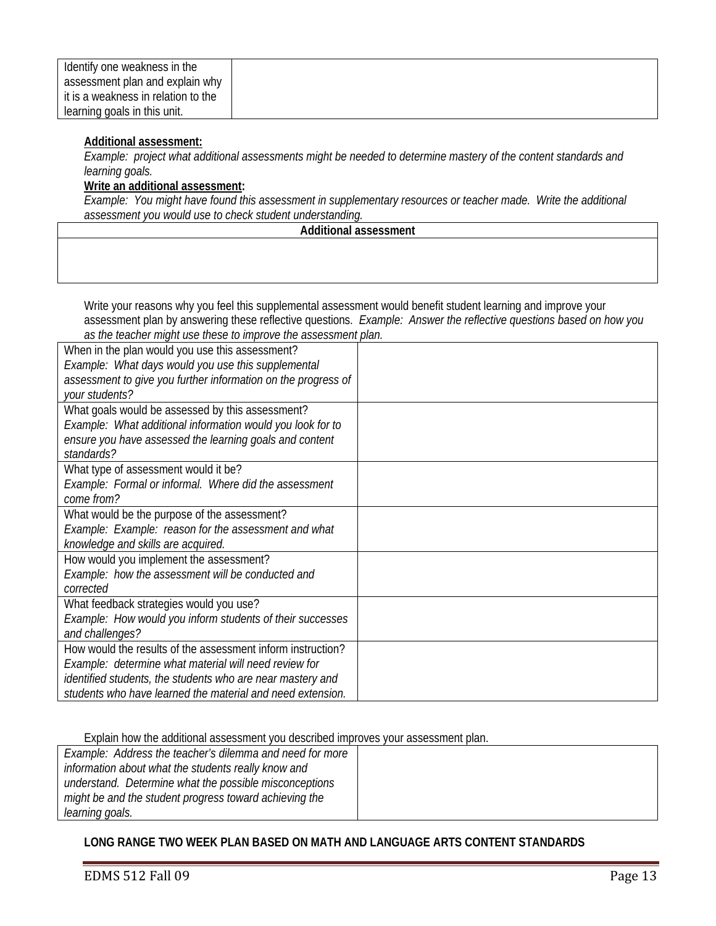| Identify one weakness in the        |  |
|-------------------------------------|--|
| assessment plan and explain why     |  |
| it is a weakness in relation to the |  |
| learning goals in this unit.        |  |

#### **Additional assessment:**

 *learning goals. Example: project what additional assessments might be needed to determine mastery of the content standards and* 

#### **Write an additional assessment:**

*Example: You might have found this assessment in supplementary resources or teacher made. Write the additional assessment you would use to check student understanding.* 

#### **Additional assessment**

Write your reasons why you feel this supplemental assessment would benefit student learning and improve your assessment plan by answering these reflective questions. *Example: Answer the reflective questions based on how you as the teacher might use these to improve the assessment plan.* 

| When in the plan would you use this assessment?               |  |
|---------------------------------------------------------------|--|
| Example: What days would you use this supplemental            |  |
| assessment to give you further information on the progress of |  |
| your students?                                                |  |
| What goals would be assessed by this assessment?              |  |
| Example: What additional information would you look for to    |  |
| ensure you have assessed the learning goals and content       |  |
| standards?                                                    |  |
| What type of assessment would it be?                          |  |
| Example: Formal or informal. Where did the assessment         |  |
| come from?                                                    |  |
| What would be the purpose of the assessment?                  |  |
| Example: Example: reason for the assessment and what          |  |
| knowledge and skills are acquired.                            |  |
| How would you implement the assessment?                       |  |
| Example: how the assessment will be conducted and             |  |
| corrected                                                     |  |
| What feedback strategies would you use?                       |  |
| Example: How would you inform students of their successes     |  |
| and challenges?                                               |  |
| How would the results of the assessment inform instruction?   |  |
| Example: determine what material will need review for         |  |
| identified students, the students who are near mastery and    |  |
| students who have learned the material and need extension.    |  |

Explain how the additional assessment you described improves your assessment plan.

| Example: Address the teacher's dilemma and need for more |  |
|----------------------------------------------------------|--|
| information about what the students really know and      |  |
| understand. Determine what the possible misconceptions   |  |
| might be and the student progress toward achieving the   |  |
| learning goals.                                          |  |

### **LONG RANGE TWO WEEK PLAN BASED ON MATH AND LANGUAGE ARTS CONTENT STANDARDS**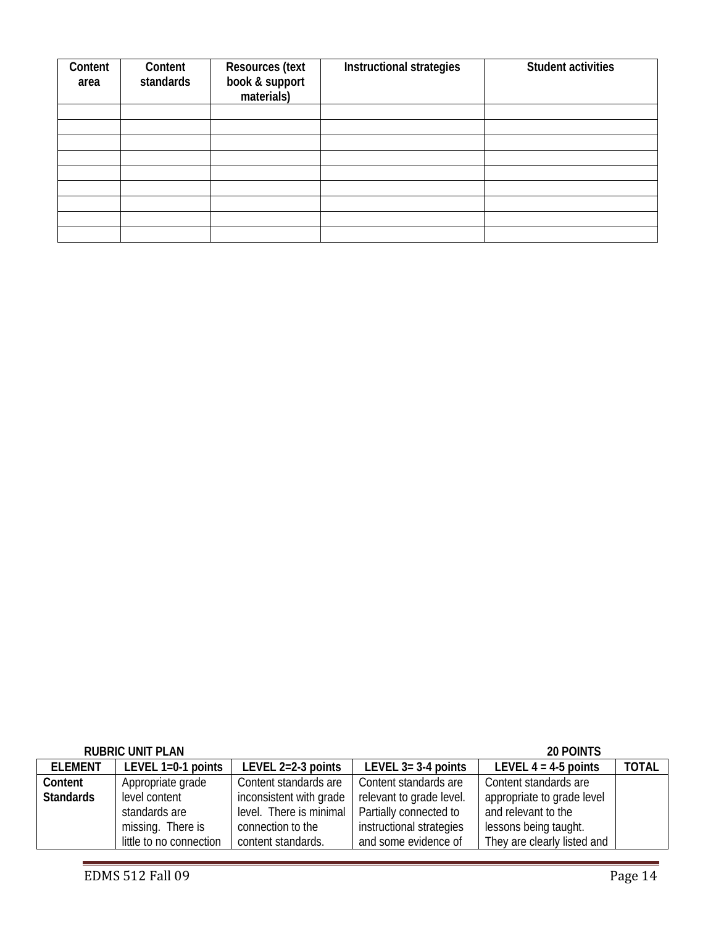| Content<br>area | Content<br>standards | <b>Resources (text</b><br>book & support<br>materials) | Instructional strategies | <b>Student activities</b> |
|-----------------|----------------------|--------------------------------------------------------|--------------------------|---------------------------|
|                 |                      |                                                        |                          |                           |
|                 |                      |                                                        |                          |                           |
|                 |                      |                                                        |                          |                           |
|                 |                      |                                                        |                          |                           |
|                 |                      |                                                        |                          |                           |
|                 |                      |                                                        |                          |                           |
|                 |                      |                                                        |                          |                           |
|                 |                      |                                                        |                          |                           |
|                 |                      |                                                        |                          |                           |

|                  | <b>RUBRIC UNIT PLAN</b> |                         |                          | 20 POINTS                   |              |
|------------------|-------------------------|-------------------------|--------------------------|-----------------------------|--------------|
| <b>ELEMENT</b>   | LEVEL $1=0-1$ points    | LEVEL 2=2-3 points      | LEVEL $3 = 3-4$ points   | LEVEL $4 = 4.5$ points      | <b>TOTAL</b> |
| Content          | Appropriate grade       | Content standards are   | Content standards are    | Content standards are       |              |
| <b>Standards</b> | level content           | inconsistent with grade | relevant to grade level. | appropriate to grade level  |              |
|                  | standards are           | level. There is minimal | Partially connected to   | and relevant to the         |              |
|                  | missing. There is       | connection to the       | instructional strategies | lessons being taught.       |              |
|                  | little to no connection | content standards.      | and some evidence of     | They are clearly listed and |              |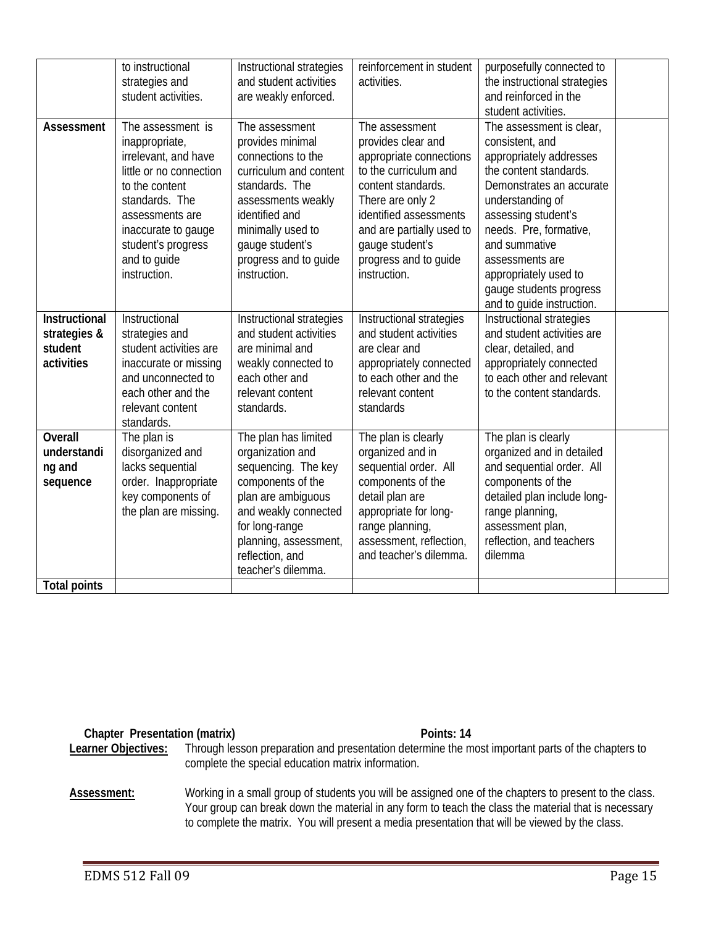|                                                               | to instructional<br>strategies and<br>student activities.                                                                                                                                                                  | Instructional strategies<br>and student activities<br>are weakly enforced.                                                                                                                                                    | reinforcement in student<br>activities.                                                                                                                                                                                                               | purposefully connected to<br>the instructional strategies<br>and reinforced in the<br>student activities.                                                                                                                                                                                                              |  |
|---------------------------------------------------------------|----------------------------------------------------------------------------------------------------------------------------------------------------------------------------------------------------------------------------|-------------------------------------------------------------------------------------------------------------------------------------------------------------------------------------------------------------------------------|-------------------------------------------------------------------------------------------------------------------------------------------------------------------------------------------------------------------------------------------------------|------------------------------------------------------------------------------------------------------------------------------------------------------------------------------------------------------------------------------------------------------------------------------------------------------------------------|--|
| Assessment                                                    | The assessment is<br>inappropriate,<br>irrelevant, and have<br>little or no connection<br>to the content<br>standards. The<br>assessments are<br>inaccurate to gauge<br>student's progress<br>and to guide<br>instruction. | The assessment<br>provides minimal<br>connections to the<br>curriculum and content<br>standards. The<br>assessments weakly<br>identified and<br>minimally used to<br>gauge student's<br>progress and to guide<br>instruction. | The assessment<br>provides clear and<br>appropriate connections<br>to the curriculum and<br>content standards.<br>There are only 2<br>identified assessments<br>and are partially used to<br>gauge student's<br>progress and to guide<br>instruction. | The assessment is clear,<br>consistent, and<br>appropriately addresses<br>the content standards.<br>Demonstrates an accurate<br>understanding of<br>assessing student's<br>needs. Pre, formative,<br>and summative<br>assessments are<br>appropriately used to<br>gauge students progress<br>and to guide instruction. |  |
| <b>Instructional</b><br>strategies &<br>student<br>activities | Instructional<br>strategies and<br>student activities are<br>inaccurate or missing<br>and unconnected to<br>each other and the<br>relevant content<br>standards.                                                           | Instructional strategies<br>and student activities<br>are minimal and<br>weakly connected to<br>each other and<br>relevant content<br>standards.                                                                              | Instructional strategies<br>and student activities<br>are clear and<br>appropriately connected<br>to each other and the<br>relevant content<br>standards                                                                                              | Instructional strategies<br>and student activities are<br>clear, detailed, and<br>appropriately connected<br>to each other and relevant<br>to the content standards.                                                                                                                                                   |  |
| <b>Overall</b><br>understandi<br>ng and<br>sequence           | The plan is<br>disorganized and<br>lacks sequential<br>order. Inappropriate<br>key components of<br>the plan are missing.                                                                                                  | The plan has limited<br>organization and<br>sequencing. The key<br>components of the<br>plan are ambiguous<br>and weakly connected<br>for long-range<br>planning, assessment,<br>reflection, and<br>teacher's dilemma.        | The plan is clearly<br>organized and in<br>sequential order. All<br>components of the<br>detail plan are<br>appropriate for long-<br>range planning,<br>assessment, reflection,<br>and teacher's dilemma.                                             | The plan is clearly<br>organized and in detailed<br>and sequential order. All<br>components of the<br>detailed plan include long-<br>range planning,<br>assessment plan,<br>reflection, and teachers<br>dilemma                                                                                                        |  |
| <b>Total points</b>                                           |                                                                                                                                                                                                                            |                                                                                                                                                                                                                               |                                                                                                                                                                                                                                                       |                                                                                                                                                                                                                                                                                                                        |  |

#### **Chapter Presentation (matrix)** All a control of the Points: 14 **Points: 14**

Learner Objectives: Through lesson preparation and presentation determine the most important parts of the chapters to complete the special education matrix information.

### Assessment: Working in a small group of students you will be assigned one of the chapters to present to the class. Your group can break down the material in any form to teach the class the material that is necessary to complete the matrix. You will present a media presentation that will be viewed by the class.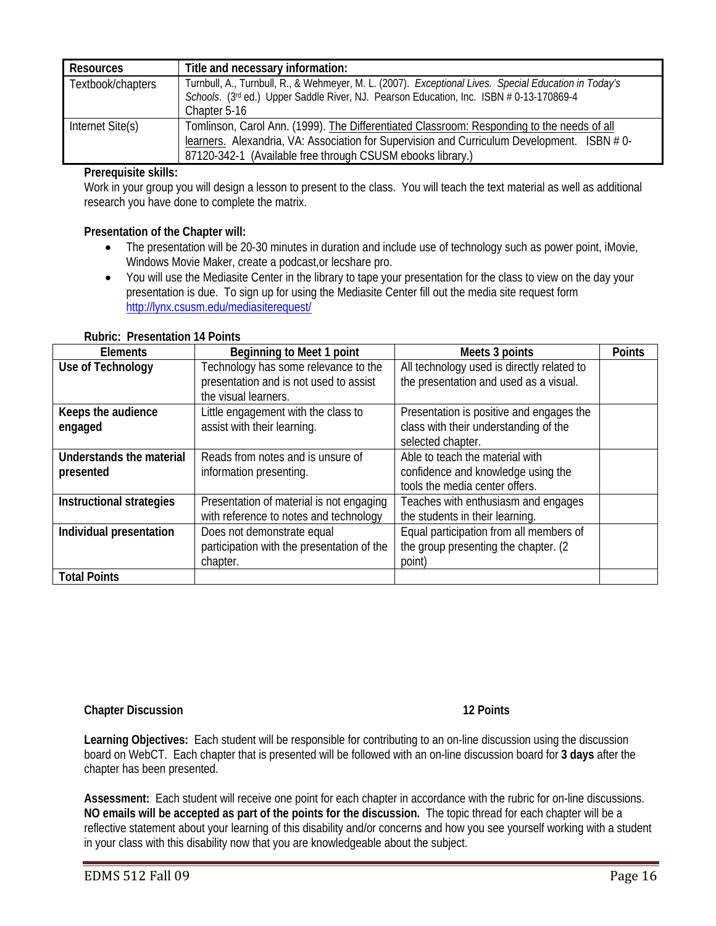| <b>Resources</b>  | Title and necessary information:                                                                                                                                                                 |
|-------------------|--------------------------------------------------------------------------------------------------------------------------------------------------------------------------------------------------|
| Textbook/chapters | Turnbull, A., Turnbull, R., & Wehmeyer, M. L. (2007). Exceptional Lives. Special Education in Today's<br>Schools. (3rd ed.) Upper Saddle River, NJ. Pearson Education, Inc. ISBN # 0-13-170869-4 |
|                   | Chapter 5-16                                                                                                                                                                                     |
| Internet Site(s)  | Tomlinson, Carol Ann. (1999). The Differentiated Classroom: Responding to the needs of all                                                                                                       |
|                   | learners. Alexandria, VA: Association for Supervision and Curriculum Development. ISBN #0-                                                                                                       |
|                   | 87120-342-1 (Available free through CSUSM ebooks library.)                                                                                                                                       |

### **Prerequisite skills:**

Work in your group you will design a lesson to present to the class. You will teach the text material as well as additional research you have done to complete the matrix.

#### **Presentation of the Chapter will:**

- The presentation will be 20-30 minutes in duration and include use of technology such as power point, iMovie, Windows Movie Maker, create a podcast,or lecshare pro.
- http://lynx.csusm.edu/mediasiterequest/ • You will use the Mediasite Center in the library to tape your presentation for the class to view on the day your presentation is due. To sign up for using the Mediasite Center fill out the media site request form

#### **Rubric: Presentation 14 Points**

| <b>Elements</b>          | Beginning to Meet 1 point                  | Meets 3 points                             | <b>Points</b> |
|--------------------------|--------------------------------------------|--------------------------------------------|---------------|
| Use of Technology        | Technology has some relevance to the       | All technology used is directly related to |               |
|                          | presentation and is not used to assist     | the presentation and used as a visual.     |               |
|                          | the visual learners.                       |                                            |               |
| Keeps the audience       | Little engagement with the class to        | Presentation is positive and engages the   |               |
| engaged                  | assist with their learning.                | class with their understanding of the      |               |
|                          |                                            | selected chapter.                          |               |
| Understands the material | Reads from notes and is unsure of          | Able to teach the material with            |               |
| presented                | information presenting.                    | confidence and knowledge using the         |               |
|                          |                                            | tools the media center offers.             |               |
| Instructional strategies | Presentation of material is not engaging   | Teaches with enthusiasm and engages        |               |
|                          | with reference to notes and technology     | the students in their learning.            |               |
| Individual presentation  | Does not demonstrate equal                 | Equal participation from all members of    |               |
|                          | participation with the presentation of the | the group presenting the chapter. (2)      |               |
|                          | chapter.                                   | point)                                     |               |
| <b>Total Points</b>      |                                            |                                            |               |

#### **Chapter Discussion 12 Points**

**Learning Objectives:** Each student will be responsible for contributing to an on-line discussion using the discussion board on WebCT. Each chapter that is presented will be followed with an on-line discussion board for **3 days** after the chapter has been presented.

 **NO emails will be accepted as part of the points for the discussion.** The topic thread for each chapter will be a **Assessment:** Each student will receive one point for each chapter in accordance with the rubric for on-line discussions. reflective statement about your learning of this disability and/or concerns and how you see yourself working with a student in your class with this disability now that you are knowledgeable about the subject.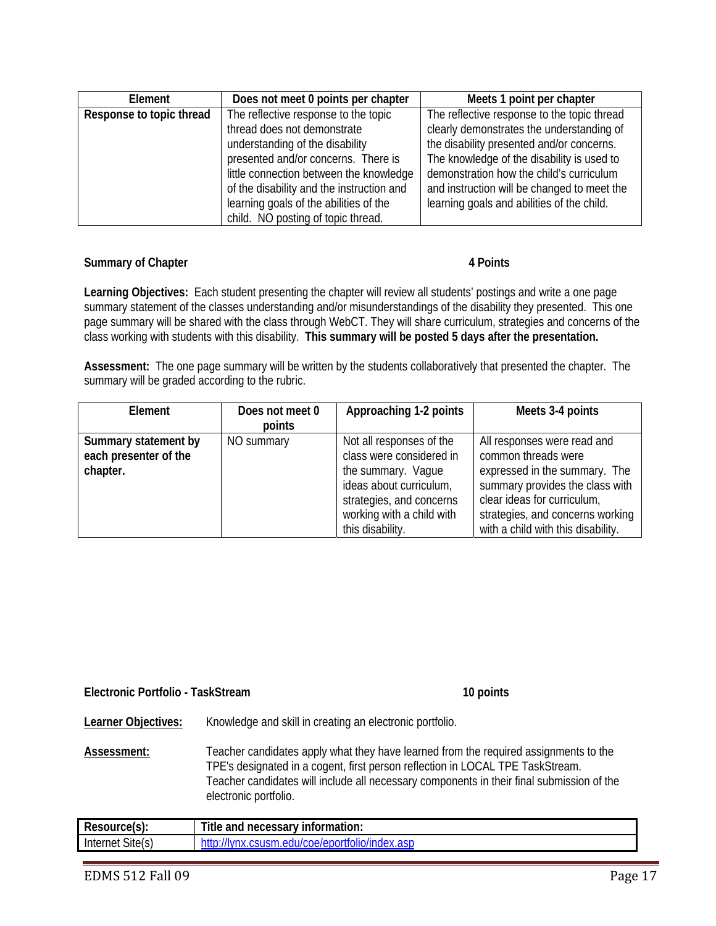| Element                  | Does not meet 0 points per chapter        | Meets 1 point per chapter                   |
|--------------------------|-------------------------------------------|---------------------------------------------|
| Response to topic thread | The reflective response to the topic      | The reflective response to the topic thread |
|                          | thread does not demonstrate               | clearly demonstrates the understanding of   |
|                          | understanding of the disability           | the disability presented and/or concerns.   |
|                          | presented and/or concerns. There is       | The knowledge of the disability is used to  |
|                          | little connection between the knowledge   | demonstration how the child's curriculum    |
|                          | of the disability and the instruction and | and instruction will be changed to meet the |
|                          | learning goals of the abilities of the    | learning goals and abilities of the child.  |
|                          | child. NO posting of topic thread.        |                                             |

#### **Summary of Chapter 4 Points 3 American Contract Authority Contract 4 Points 4 Points**

**Learning Objectives:** Each student presenting the chapter will review all students' postings and write a one page summary statement of the classes understanding and/or misunderstandings of the disability they presented. This one page summary will be shared with the class through WebCT. They will share curriculum, strategies and concerns of the class working with students with this disability. **This summary will be posted 5 days after the presentation.** 

**Assessment:** The one page summary will be written by the students collaboratively that presented the chapter. The summary will be graded according to the rubric.

| Element                                                   | Does not meet 0 | Approaching 1-2 points                                                                                                                                                             | Meets 3-4 points                                                                                                                                                                                                                |
|-----------------------------------------------------------|-----------------|------------------------------------------------------------------------------------------------------------------------------------------------------------------------------------|---------------------------------------------------------------------------------------------------------------------------------------------------------------------------------------------------------------------------------|
|                                                           | points          |                                                                                                                                                                                    |                                                                                                                                                                                                                                 |
| Summary statement by<br>each presenter of the<br>chapter. | NO summary      | Not all responses of the<br>class were considered in<br>the summary. Vaque<br>ideas about curriculum,<br>strategies, and concerns<br>working with a child with<br>this disability. | All responses were read and<br>common threads were<br>expressed in the summary. The<br>summary provides the class with<br>clear ideas for curriculum,<br>strategies, and concerns working<br>with a child with this disability. |

#### **Electronic Portfolio - TaskStream 10 points 10 points**

**Learner Objectives:** Knowledge and skill in creating an electronic portfolio.

Assessment: Teacher candidates apply what they have learned from the required assignments to the TPE's designated in a cogent, first person reflection in LOCAL TPE TaskStream. Teacher candidates will include all necessary components in their final submission of the electronic portfolio.

| Resource(s):        | <b>Title</b><br>  necessary information:<br>and           |
|---------------------|-----------------------------------------------------------|
| Site(s)<br>Internet | ususm.edu/c<br>coe/eportr<br>TOITO/INGEX<br>uex.ası<br>НΧ |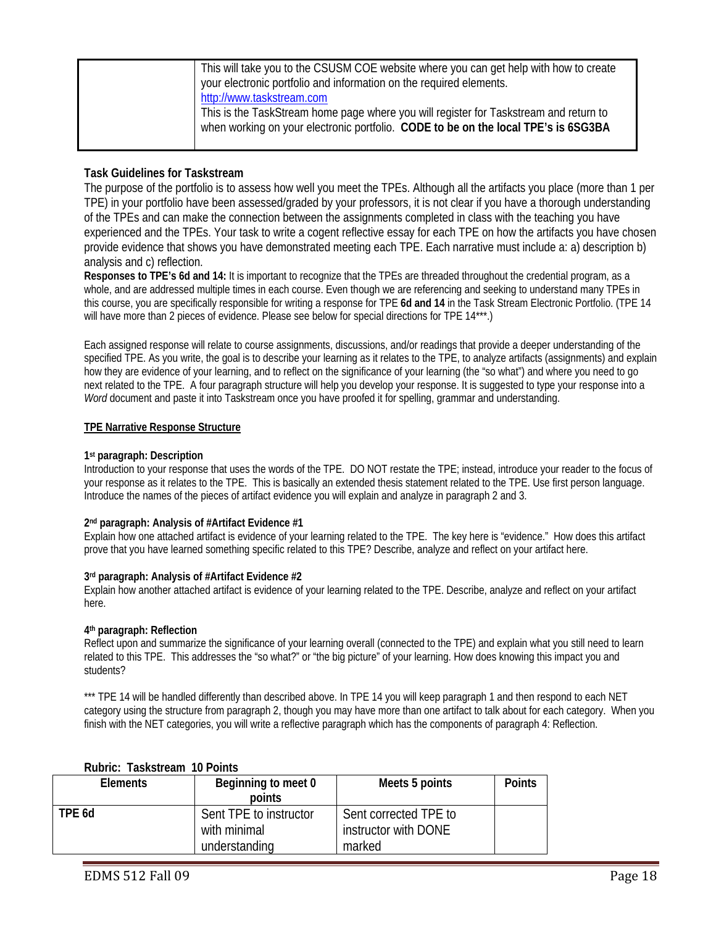| This will take you to the CSUSM COE website where you can get help with how to create<br>your electronic portfolio and information on the required elements.<br>http://www.taskstream.com |
|-------------------------------------------------------------------------------------------------------------------------------------------------------------------------------------------|
| This is the TaskStream home page where you will register for Taskstream and return to<br>when working on your electronic portfolio. CODE to be on the local TPE's is 6SG3BA               |

### **Task Guidelines for Taskstream**

The purpose of the portfolio is to assess how well you meet the TPEs. Although all the artifacts you place (more than 1 per TPE) in your portfolio have been assessed/graded by your professors, it is not clear if you have a thorough understanding of the TPEs and can make the connection between the assignments completed in class with the teaching you have experienced and the TPEs. Your task to write a cogent reflective essay for each TPE on how the artifacts you have chosen provide evidence that shows you have demonstrated meeting each TPE. Each narrative must include a: a) description b) analysis and c) reflection.

**Responses to TPE's 6d and 14:** It is important to recognize that the TPEs are threaded throughout the credential program, as a whole, and are addressed multiple times in each course. Even though we are referencing and seeking to understand many TPEs in this course, you are specifically responsible for writing a response for TPE **6d and 14** in the Task Stream Electronic Portfolio. (TPE 14 will have more than 2 pieces of evidence. Please see below for special directions for TPE 14\*\*\*.)

Each assigned response will relate to course assignments, discussions, and/or readings that provide a deeper understanding of the specified TPE. As you write, the goal is to describe your learning as it relates to the TPE, to analyze artifacts (assignments) and explain how they are evidence of your learning, and to reflect on the significance of your learning (the "so what") and where you need to go next related to the TPE. A four paragraph structure will help you develop your response. It is suggested to type your response into a *Word* document and paste it into Taskstream once you have proofed it for spelling, grammar and understanding.

#### **TPE Narrative Response Structure**

#### **1st paragraph: Description**

Introduction to your response that uses the words of the TPE. DO NOT restate the TPE; instead, introduce your reader to the focus of your response as it relates to the TPE. This is basically an extended thesis statement related to the TPE. Use first person language. Introduce the names of the pieces of artifact evidence you will explain and analyze in paragraph 2 and 3.

#### **2nd paragraph: Analysis of #Artifact Evidence #1**

Explain how one attached artifact is evidence of your learning related to the TPE. The key here is "evidence." How does this artifact prove that you have learned something specific related to this TPE? Describe, analyze and reflect on your artifact here.

#### **3rd paragraph: Analysis of #Artifact Evidence #2**

Explain how another attached artifact is evidence of your learning related to the TPE. Describe, analyze and reflect on your artifact here.

#### **4th paragraph: Reflection**

Reflect upon and summarize the significance of your learning overall (connected to the TPE) and explain what you still need to learn related to this TPE. This addresses the "so what?" or "the big picture" of your learning. How does knowing this impact you and students?

\*\*\* TPE 14 will be handled differently than described above. In TPE 14 you will keep paragraph 1 and then respond to each NET category using the structure from paragraph 2, though you may have more than one artifact to talk about for each category. When you finish with the NET categories, you will write a reflective paragraph which has the components of paragraph 4: Reflection.

| <b>Elements</b> | Beginning to meet 0    | Meets 5 points        | <b>Points</b> |
|-----------------|------------------------|-----------------------|---------------|
|                 | points                 |                       |               |
| TPE 6d          | Sent TPE to instructor | Sent corrected TPE to |               |
|                 | with minimal           | instructor with DONE  |               |
|                 | understanding          | marked                |               |

#### **Rubric: Taskstream 10 Points**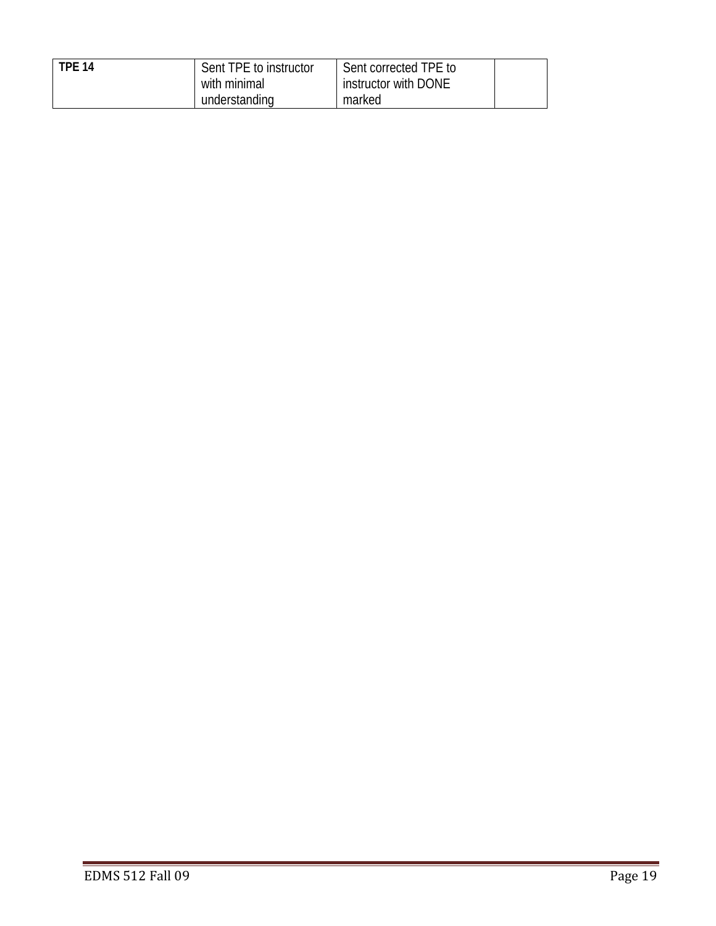| <b>TPF 14</b> | Sent TPE to instructor<br>with minimal | Sent corrected TPE to<br>instructor with DONE |  |
|---------------|----------------------------------------|-----------------------------------------------|--|
|               | understanding                          | marked                                        |  |